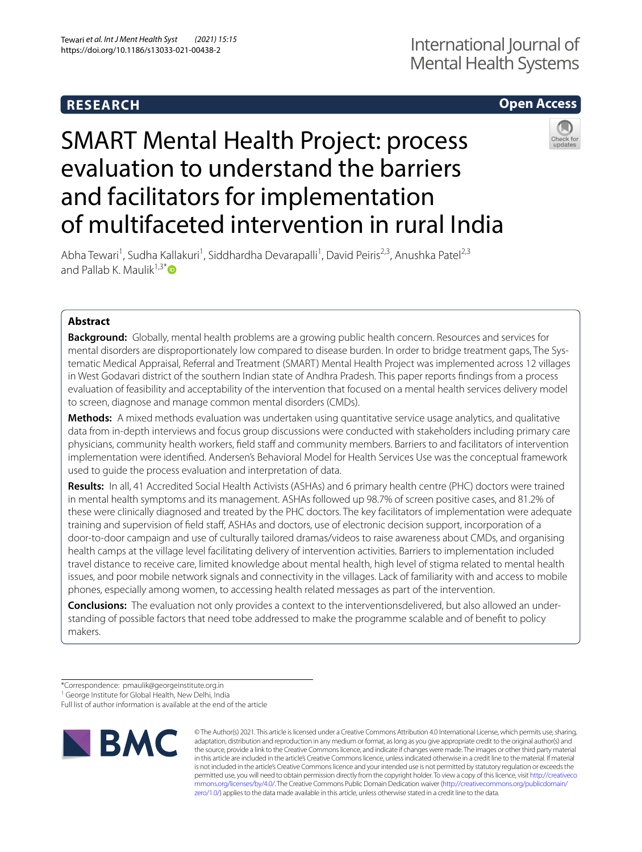# **RESEARCH**

## **Open Access**

# SMART Mental Health Project: process evaluation to understand the barriers and facilitators for implementation of multifaceted intervention in rural India



Abha Tewari<sup>1</sup>, Sudha Kallakuri<sup>1</sup>, Siddhardha Devarapalli<sup>1</sup>, David Peiris<sup>2,3</sup>, Anushka Patel<sup>2,3</sup> and Pallab K. Maulik $1,3^*$  $1,3^*$ 

## **Abstract**

**Background:** Globally, mental health problems are a growing public health concern. Resources and services for mental disorders are disproportionately low compared to disease burden. In order to bridge treatment gaps, The Systematic Medical Appraisal, Referral and Treatment (SMART) Mental Health Project was implemented across 12 villages in West Godavari district of the southern Indian state of Andhra Pradesh. This paper reports fndings from a process evaluation of feasibility and acceptability of the intervention that focused on a mental health services delivery model to screen, diagnose and manage common mental disorders (CMDs).

**Methods:** A mixed methods evaluation was undertaken using quantitative service usage analytics, and qualitative data from in-depth interviews and focus group discussions were conducted with stakeholders including primary care physicians, community health workers, field staff and community members. Barriers to and facilitators of intervention implementation were identifed. Andersen's Behavioral Model for Health Services Use was the conceptual framework used to guide the process evaluation and interpretation of data.

**Results:** In all, 41 Accredited Social Health Activists (ASHAs) and 6 primary health centre (PHC) doctors were trained in mental health symptoms and its management. ASHAs followed up 98.7% of screen positive cases, and 81.2% of these were clinically diagnosed and treated by the PHC doctors. The key facilitators of implementation were adequate training and supervision of field staff, ASHAs and doctors, use of electronic decision support, incorporation of a door-to-door campaign and use of culturally tailored dramas/videos to raise awareness about CMDs, and organising health camps at the village level facilitating delivery of intervention activities. Barriers to implementation included travel distance to receive care, limited knowledge about mental health, high level of stigma related to mental health issues, and poor mobile network signals and connectivity in the villages. Lack of familiarity with and access to mobile phones, especially among women, to accessing health related messages as part of the intervention.

**Conclusions:** The evaluation not only provides a context to the interventionsdelivered, but also allowed an understanding of possible factors that need tobe addressed to make the programme scalable and of beneft to policy makers.

\*Correspondence: pmaulik@georgeinstitute.org.in

Full list of author information is available at the end of the article



© The Author(s) 2021. This article is licensed under a Creative Commons Attribution 4.0 International License, which permits use, sharing, adaptation, distribution and reproduction in any medium or format, as long as you give appropriate credit to the original author(s) and the source, provide a link to the Creative Commons licence, and indicate if changes were made. The images or other third party material in this article are included in the article's Creative Commons licence, unless indicated otherwise in a credit line to the material. If material is not included in the article's Creative Commons licence and your intended use is not permitted by statutory regulation or exceeds the permitted use, you will need to obtain permission directly from the copyright holder. To view a copy of this licence, visit [http://creativeco](http://creativecommons.org/licenses/by/4.0/) [mmons.org/licenses/by/4.0/.](http://creativecommons.org/licenses/by/4.0/) The Creative Commons Public Domain Dedication waiver ([http://creativecommons.org/publicdomain/](http://creativecommons.org/publicdomain/zero/1.0/) [zero/1.0/\)](http://creativecommons.org/publicdomain/zero/1.0/) applies to the data made available in this article, unless otherwise stated in a credit line to the data.

<sup>&</sup>lt;sup>1</sup> George Institute for Global Health, New Delhi, India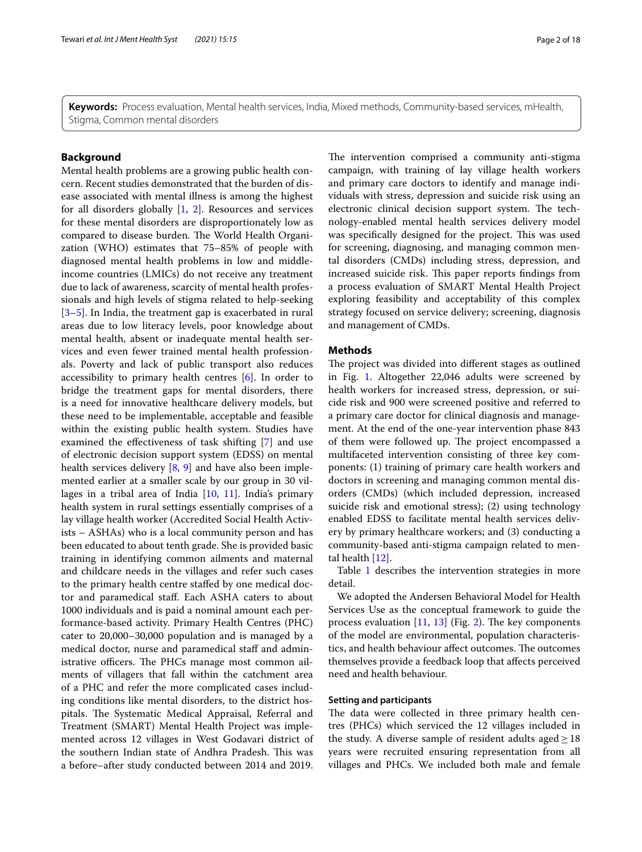**Keywords:** Process evaluation, Mental health services, India, Mixed methods, Community-based services, mHealth, Stigma, Common mental disorders

## **Background**

Mental health problems are a growing public health concern. Recent studies demonstrated that the burden of disease associated with mental illness is among the highest for all disorders globally  $[1, 2]$  $[1, 2]$  $[1, 2]$  $[1, 2]$ . Resources and services for these mental disorders are disproportionately low as compared to disease burden. The World Health Organization (WHO) estimates that 75–85% of people with diagnosed mental health problems in low and middleincome countries (LMICs) do not receive any treatment due to lack of awareness, scarcity of mental health professionals and high levels of stigma related to help-seeking [[3–](#page-16-2)[5\]](#page-16-3). In India, the treatment gap is exacerbated in rural areas due to low literacy levels, poor knowledge about mental health, absent or inadequate mental health services and even fewer trained mental health professionals. Poverty and lack of public transport also reduces accessibility to primary health centres [\[6](#page-16-4)]. In order to bridge the treatment gaps for mental disorders, there is a need for innovative healthcare delivery models, but these need to be implementable, acceptable and feasible within the existing public health system. Studies have examined the efectiveness of task shifting [\[7](#page-16-5)] and use of electronic decision support system (EDSS) on mental health services delivery [[8,](#page-16-6) [9](#page-16-7)] and have also been implemented earlier at a smaller scale by our group in 30 villages in a tribal area of India  $[10, 11]$  $[10, 11]$  $[10, 11]$  $[10, 11]$ . India's primary health system in rural settings essentially comprises of a lay village health worker (Accredited Social Health Activists – ASHAs) who is a local community person and has been educated to about tenth grade. She is provided basic training in identifying common ailments and maternal and childcare needs in the villages and refer such cases to the primary health centre stafed by one medical doctor and paramedical staf. Each ASHA caters to about 1000 individuals and is paid a nominal amount each performance-based activity. Primary Health Centres (PHC) cater to 20,000–30,000 population and is managed by a medical doctor, nurse and paramedical staff and administrative officers. The PHCs manage most common ailments of villagers that fall within the catchment area of a PHC and refer the more complicated cases including conditions like mental disorders, to the district hospitals. The Systematic Medical Appraisal, Referral and Treatment (SMART) Mental Health Project was implemented across 12 villages in West Godavari district of the southern Indian state of Andhra Pradesh. This was a before–after study conducted between 2014 and 2019. The intervention comprised a community anti-stigma campaign, with training of lay village health workers and primary care doctors to identify and manage individuals with stress, depression and suicide risk using an electronic clinical decision support system. The technology-enabled mental health services delivery model was specifically designed for the project. This was used for screening, diagnosing, and managing common mental disorders (CMDs) including stress, depression, and increased suicide risk. This paper reports findings from a process evaluation of SMART Mental Health Project exploring feasibility and acceptability of this complex strategy focused on service delivery; screening, diagnosis and management of CMDs.

## **Methods**

The project was divided into different stages as outlined in Fig. [1](#page-4-0). Altogether 22,046 adults were screened by health workers for increased stress, depression, or suicide risk and 900 were screened positive and referred to a primary care doctor for clinical diagnosis and management. At the end of the one-year intervention phase 843 of them were followed up. The project encompassed a multifaceted intervention consisting of three key components: (1) training of primary care health workers and doctors in screening and managing common mental disorders (CMDs) (which included depression, increased suicide risk and emotional stress); (2) using technology enabled EDSS to facilitate mental health services delivery by primary healthcare workers; and (3) conducting a community-based anti-stigma campaign related to mental health [\[12](#page-16-10)].

Table [1](#page-3-0) describes the intervention strategies in more detail.

We adopted the Andersen Behavioral Model for Health Services Use as the conceptual framework to guide the process evaluation  $[11, 13]$  $[11, 13]$  $[11, 13]$  $[11, 13]$  (Fig. [2](#page-2-0)). The key components of the model are environmental, population characteristics, and health behaviour affect outcomes. The outcomes themselves provide a feedback loop that afects perceived need and health behaviour.

## **Setting and participants**

The data were collected in three primary health centres (PHCs) which serviced the 12 villages included in the study. A diverse sample of resident adults aged $\geq$ 18 years were recruited ensuring representation from all villages and PHCs. We included both male and female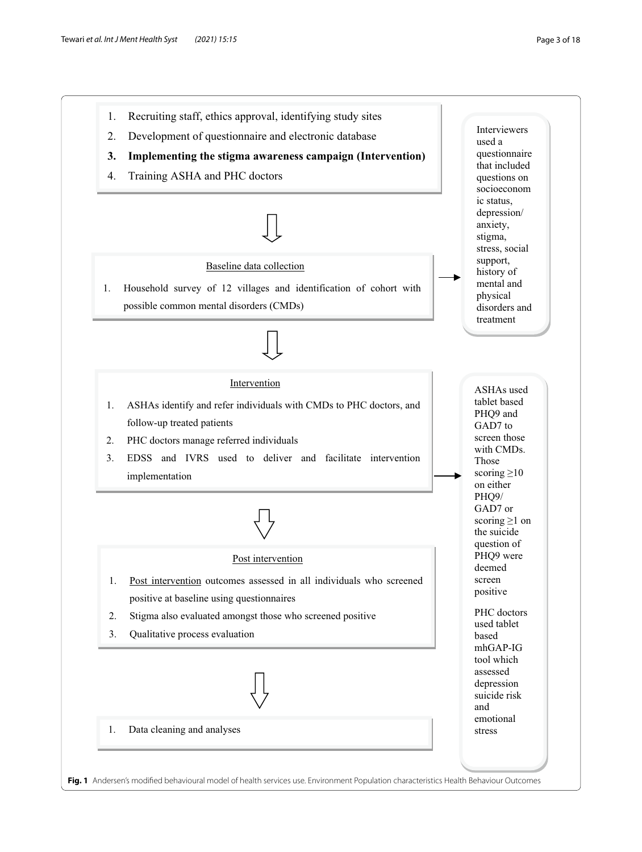<span id="page-2-0"></span>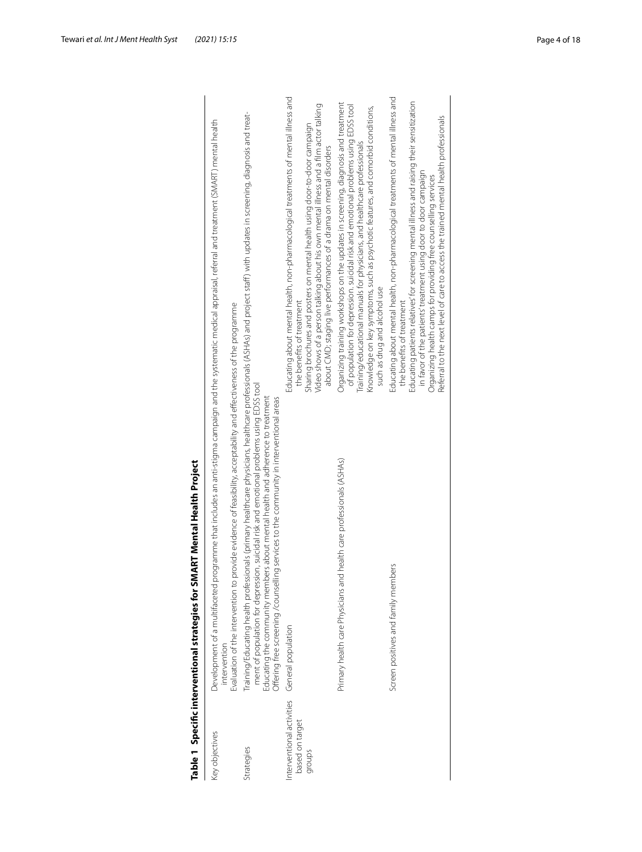<span id="page-3-0"></span>

| l                                      |
|----------------------------------------|
|                                        |
|                                        |
|                                        |
| .<br>I                                 |
| ا<br>ا                                 |
|                                        |
|                                        |
|                                        |
|                                        |
|                                        |
|                                        |
|                                        |
|                                        |
|                                        |
|                                        |
| ֖֖֖֖֖֖֖֖֖֖֖֖֖֧֚֚֚֚֚֚֚֚֚֚֚֚֚֡֬ <u>֚</u> |
| :                                      |
|                                        |

|                                                       | Table 1 Specific interventional strategies for SMART Mental Health Project                                                                                                                                                                                                                                                                                                                                                                          |                                                                                                                                                                                                                                                                                                                                                                                                                                             |
|-------------------------------------------------------|-----------------------------------------------------------------------------------------------------------------------------------------------------------------------------------------------------------------------------------------------------------------------------------------------------------------------------------------------------------------------------------------------------------------------------------------------------|---------------------------------------------------------------------------------------------------------------------------------------------------------------------------------------------------------------------------------------------------------------------------------------------------------------------------------------------------------------------------------------------------------------------------------------------|
| Key objectives                                        | Development of a multifaceted programme that includes an anti-stigma campaign and the systematic medical appraisal, referral and treatment (SMART) mental health<br>Evaluation of the intervention to provide evidence of feasibility, acceptability and effectiveness of the programme<br>intervention                                                                                                                                             |                                                                                                                                                                                                                                                                                                                                                                                                                                             |
| Strategies                                            | Training/Educating health professionals (primary healthcare physicians, healthcare professionals (ASHAs) and project staff) with updates in screening, diagnosis and treat-<br>ment of population for depression, suicidal risk and emotional problems using EDSS tool<br>Educating the community members about mental health and adherence to treatment<br>Offering free screening / counselling services to the community in interventional areas |                                                                                                                                                                                                                                                                                                                                                                                                                                             |
| nterventional activities<br>based on target<br>groups | General population                                                                                                                                                                                                                                                                                                                                                                                                                                  | Educating about mental health, non-pharmacological treatments of mental illness and<br>Video shows of a person talking about his own mental illness and a film actor talking<br>Sharing brochures and posters on mental health using door-to-door campaign<br>about CMD; staging live performances of a drama on mental disorders<br>the benefits of treatment                                                                              |
|                                                       | Primary health care Physicians and health care professionals (ASHAs)                                                                                                                                                                                                                                                                                                                                                                                | Organizing training workshops on the updates in screening, diagnosis and treatment<br>of population for depression. suicidal risk and emotional problems using EDSS tool<br>Knowledge on key symptoms, such as psychotic features, and comorbid conditions,<br>Training/educational manuals for physicians, and healthcare professionals<br>such as drug and alcohol use                                                                    |
|                                                       | Screen positives and family members                                                                                                                                                                                                                                                                                                                                                                                                                 | Educating about mental health, non-pharmacological treatments of mental illness and<br>Educating patients relatives for screening mental illness and raising their sensitization<br>Referral to the next level of care to access the trained mental health professionals<br>in favor of the patients' treatment using door to door campaign<br>Organizing health camps for providing free counselling services<br>the benefits of treatment |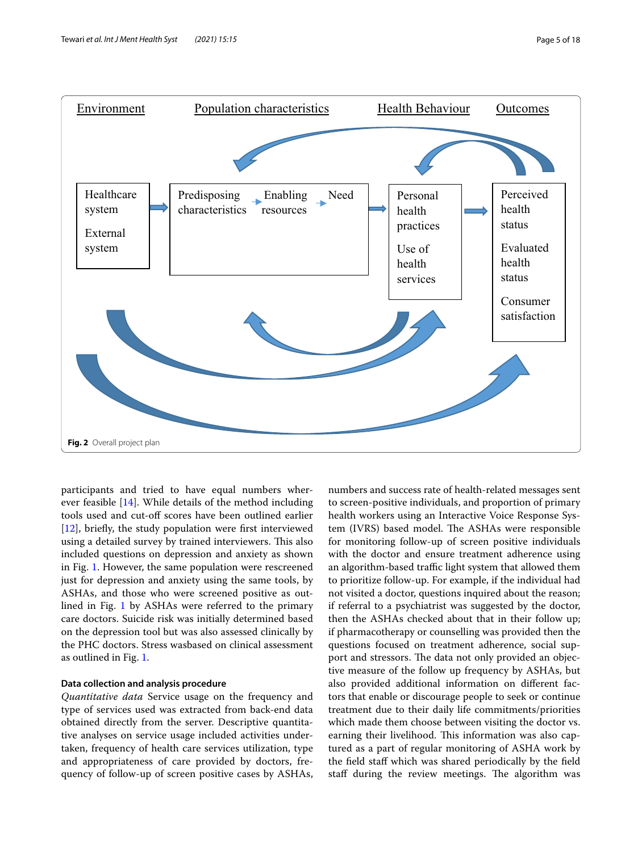

<span id="page-4-0"></span>participants and tried to have equal numbers wherever feasible [[14\]](#page-16-12). While details of the method including tools used and cut-of scores have been outlined earlier [[12\]](#page-16-10), briefly, the study population were first interviewed using a detailed survey by trained interviewers. This also included questions on depression and anxiety as shown in Fig. [1](#page-4-0). However, the same population were rescreened just for depression and anxiety using the same tools, by ASHAs, and those who were screened positive as outlined in Fig. [1](#page-4-0) by ASHAs were referred to the primary care doctors. Suicide risk was initially determined based on the depression tool but was also assessed clinically by the PHC doctors. Stress wasbased on clinical assessment as outlined in Fig. [1](#page-4-0).

## **Data collection and analysis procedure**

*Quantitative data* Service usage on the frequency and type of services used was extracted from back-end data obtained directly from the server. Descriptive quantitative analyses on service usage included activities undertaken, frequency of health care services utilization, type and appropriateness of care provided by doctors, frequency of follow-up of screen positive cases by ASHAs, numbers and success rate of health-related messages sent to screen-positive individuals, and proportion of primary health workers using an Interactive Voice Response System (IVRS) based model. The ASHAs were responsible for monitoring follow-up of screen positive individuals with the doctor and ensure treatment adherence using an algorithm-based traffic light system that allowed them to prioritize follow-up. For example, if the individual had not visited a doctor, questions inquired about the reason; if referral to a psychiatrist was suggested by the doctor, then the ASHAs checked about that in their follow up; if pharmacotherapy or counselling was provided then the questions focused on treatment adherence, social support and stressors. The data not only provided an objective measure of the follow up frequency by ASHAs, but also provided additional information on diferent factors that enable or discourage people to seek or continue treatment due to their daily life commitments/priorities which made them choose between visiting the doctor vs. earning their livelihood. This information was also captured as a part of regular monitoring of ASHA work by the feld staf which was shared periodically by the feld staff during the review meetings. The algorithm was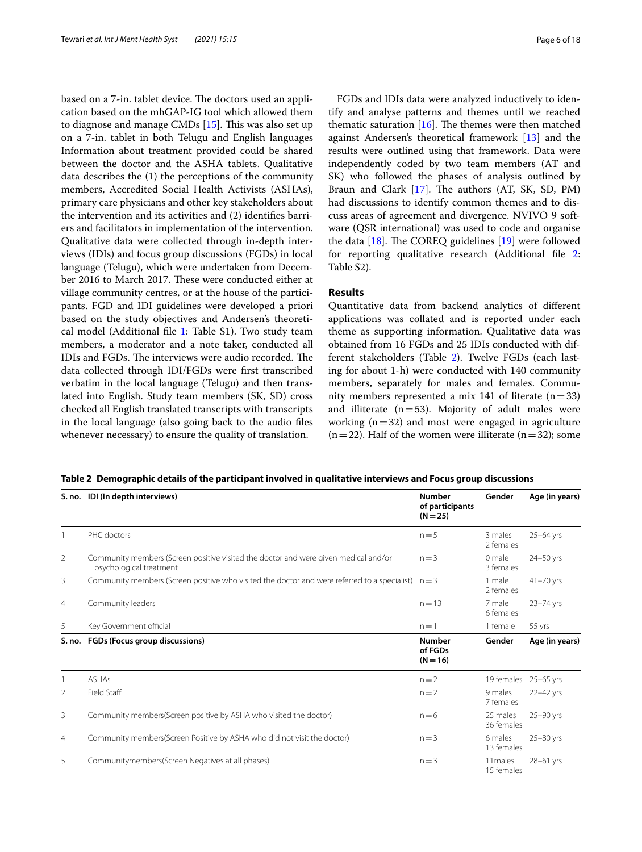based on a 7-in. tablet device. The doctors used an application based on the mhGAP-IG tool which allowed them to diagnose and manage CMDs  $[15]$  $[15]$ . This was also set up on a 7-in. tablet in both Telugu and English languages Information about treatment provided could be shared between the doctor and the ASHA tablets. Qualitative data describes the (1) the perceptions of the community members, Accredited Social Health Activists (ASHAs), primary care physicians and other key stakeholders about the intervention and its activities and (2) identifes barriers and facilitators in implementation of the intervention. Qualitative data were collected through in-depth interviews (IDIs) and focus group discussions (FGDs) in local language (Telugu), which were undertaken from December 2016 to March 2017. These were conducted either at village community centres, or at the house of the participants. FGD and IDI guidelines were developed a priori based on the study objectives and Andersen's theoretical model (Additional fle [1](#page-16-14): Table S1). Two study team members, a moderator and a note taker, conducted all IDIs and FGDs. The interviews were audio recorded. The data collected through IDI/FGDs were frst transcribed verbatim in the local language (Telugu) and then translated into English. Study team members (SK, SD) cross checked all English translated transcripts with transcripts in the local language (also going back to the audio fles whenever necessary) to ensure the quality of translation.

FGDs and IDIs data were analyzed inductively to identify and analyse patterns and themes until we reached thematic saturation  $[16]$  $[16]$ . The themes were then matched against Andersen's theoretical framework [\[13](#page-16-11)] and the results were outlined using that framework. Data were independently coded by two team members (AT and SK) who followed the phases of analysis outlined by Braun and Clark  $[17]$  $[17]$ . The authors (AT, SK, SD, PM) had discussions to identify common themes and to discuss areas of agreement and divergence. NVIVO 9 software (QSR international) was used to code and organise the data  $[18]$  $[18]$ . The COREQ guidelines  $[19]$  were followed for reporting qualitative research (Additional fle [2](#page-16-19): Table S2).

## **Results**

Quantitative data from backend analytics of diferent applications was collated and is reported under each theme as supporting information. Qualitative data was obtained from 16 FGDs and 25 IDIs conducted with different stakeholders (Table [2\)](#page-5-0). Twelve FGDs (each lasting for about 1-h) were conducted with 140 community members, separately for males and females. Community members represented a mix 141 of literate  $(n=33)$ and illiterate  $(n=53)$ . Majority of adult males were working  $(n=32)$  and most were engaged in agriculture  $(n=22)$ . Half of the women were illiterate  $(n=32)$ ; some

<span id="page-5-0"></span>

|  | Table 2 Demographic details of the participant involved in qualitative interviews and Focus group discussions |  |
|--|---------------------------------------------------------------------------------------------------------------|--|
|  |                                                                                                               |  |

|                | S. no. IDI (In depth interviews)                                                                               | <b>Number</b><br>of participants<br>$(N = 25)$ | Gender                 | Age (in years) |
|----------------|----------------------------------------------------------------------------------------------------------------|------------------------------------------------|------------------------|----------------|
|                | PHC doctors                                                                                                    | $n=5$                                          | 3 males<br>2 females   | $25-64$ yrs    |
| 2              | Community members (Screen positive visited the doctor and were given medical and/or<br>psychological treatment | $n = 3$                                        | 0 male<br>3 females    | 24-50 yrs      |
| 3              | Community members (Screen positive who visited the doctor and were referred to a specialist)                   | $n = 3$                                        | 1 male<br>2 females    | $41 - 70$ yrs  |
| 4              | Community leaders                                                                                              | $n = 13$                                       | 7 male<br>6 females    | $23 - 74$ yrs  |
| 5              | Key Government official                                                                                        | $n=1$                                          | 1 female               | 55 yrs         |
| S. no.         | FGDs (Focus group discussions)                                                                                 | <b>Number</b><br>of FGDs<br>$(N = 16)$         | Gender                 | Age (in years) |
|                | <b>ASHAs</b>                                                                                                   | $n = 2$                                        | 19 females             | $25 - 65$ yrs  |
| 2              | Field Staff                                                                                                    | $n = 2$                                        | 9 males<br>7 females   | 22-42 yrs      |
| 3              | Community members (Screen positive by ASHA who visited the doctor)                                             | $n=6$                                          | 25 males<br>36 females | 25-90 yrs      |
| $\overline{4}$ | Community members (Screen Positive by ASHA who did not visit the doctor)                                       | $n = 3$                                        | 6 males<br>13 females  | $25 - 80$ yrs  |
| 5.             | Communitymembers(Screen Negatives at all phases)                                                               | $n = 3$                                        | 11 males<br>15 females | $28-61$ yrs    |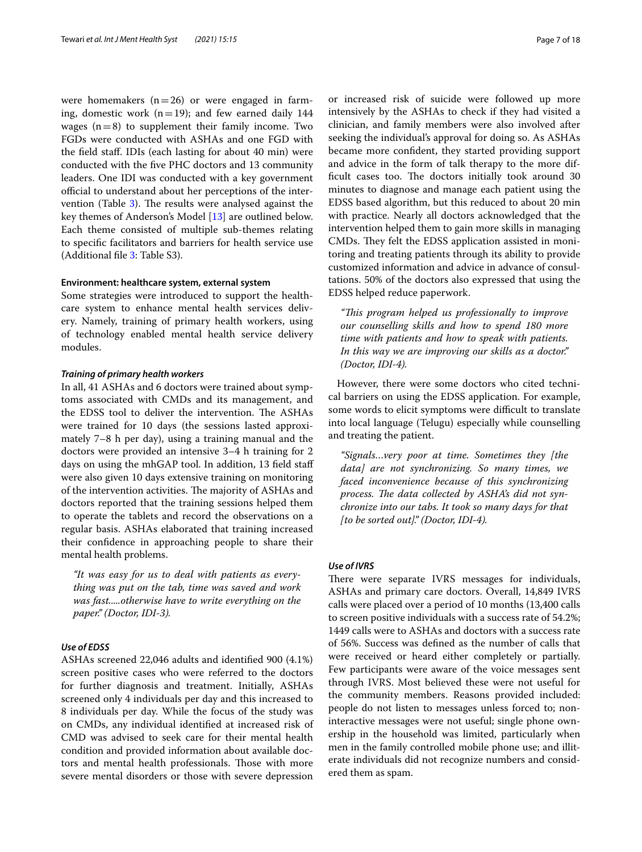were homemakers  $(n=26)$  or were engaged in farming, domestic work ( $n=19$ ); and few earned daily 144 wages  $(n=8)$  to supplement their family income. Two FGDs were conducted with ASHAs and one FGD with the feld staf. IDIs (each lasting for about 40 min) were conducted with the fve PHC doctors and 13 community leaders. One IDI was conducted with a key government official to understand about her perceptions of the inter-vention (Table [3](#page-7-0)). The results were analysed against the key themes of Anderson's Model [[13\]](#page-16-11) are outlined below. Each theme consisted of multiple sub-themes relating to specifc facilitators and barriers for health service use (Additional fle [3](#page-16-20): Table S3).

#### **Environment: healthcare system, external system**

Some strategies were introduced to support the healthcare system to enhance mental health services delivery. Namely, training of primary health workers, using of technology enabled mental health service delivery modules.

#### *Training of primary health workers*

In all, 41 ASHAs and 6 doctors were trained about symptoms associated with CMDs and its management, and the EDSS tool to deliver the intervention. The ASHAs were trained for 10 days (the sessions lasted approximately 7–8 h per day), using a training manual and the doctors were provided an intensive 3–4 h training for 2 days on using the mhGAP tool. In addition, 13 field staff were also given 10 days extensive training on monitoring of the intervention activities. The majority of ASHAs and doctors reported that the training sessions helped them to operate the tablets and record the observations on a regular basis. ASHAs elaborated that training increased their confdence in approaching people to share their mental health problems.

*"It was easy for us to deal with patients as everything was put on the tab, time was saved and work was fast.....otherwise have to write everything on the paper." (Doctor, IDI-3).*

## *Use of EDSS*

ASHAs screened 22,046 adults and identifed 900 (4.1%) screen positive cases who were referred to the doctors for further diagnosis and treatment. Initially, ASHAs screened only 4 individuals per day and this increased to 8 individuals per day. While the focus of the study was on CMDs, any individual identifed at increased risk of CMD was advised to seek care for their mental health condition and provided information about available doctors and mental health professionals. Those with more severe mental disorders or those with severe depression or increased risk of suicide were followed up more intensively by the ASHAs to check if they had visited a clinician, and family members were also involved after seeking the individual's approval for doing so. As ASHAs became more confdent, they started providing support and advice in the form of talk therapy to the more difficult cases too. The doctors initially took around 30 minutes to diagnose and manage each patient using the EDSS based algorithm, but this reduced to about 20 min with practice. Nearly all doctors acknowledged that the intervention helped them to gain more skills in managing CMDs. They felt the EDSS application assisted in monitoring and treating patients through its ability to provide customized information and advice in advance of consultations. 50% of the doctors also expressed that using the EDSS helped reduce paperwork.

*"Tis program helped us professionally to improve our counselling skills and how to spend 180 more time with patients and how to speak with patients. In this way we are improving our skills as a doctor." (Doctor, IDI-4).*

However, there were some doctors who cited technical barriers on using the EDSS application. For example, some words to elicit symptoms were difficult to translate into local language (Telugu) especially while counselling and treating the patient.

*"Signals…very poor at time. Sometimes they [the data] are not synchronizing. So many times, we faced inconvenience because of this synchronizing*  process. The data collected by ASHA's did not syn*chronize into our tabs. It took so many days for that [to be sorted out]." (Doctor, IDI-4).*

## *Use of IVRS*

There were separate IVRS messages for individuals, ASHAs and primary care doctors. Overall, 14,849 IVRS calls were placed over a period of 10 months (13,400 calls to screen positive individuals with a success rate of 54.2%; 1449 calls were to ASHAs and doctors with a success rate of 56%. Success was defned as the number of calls that were received or heard either completely or partially. Few participants were aware of the voice messages sent through IVRS. Most believed these were not useful for the community members. Reasons provided included: people do not listen to messages unless forced to; noninteractive messages were not useful; single phone ownership in the household was limited, particularly when men in the family controlled mobile phone use; and illiterate individuals did not recognize numbers and considered them as spam.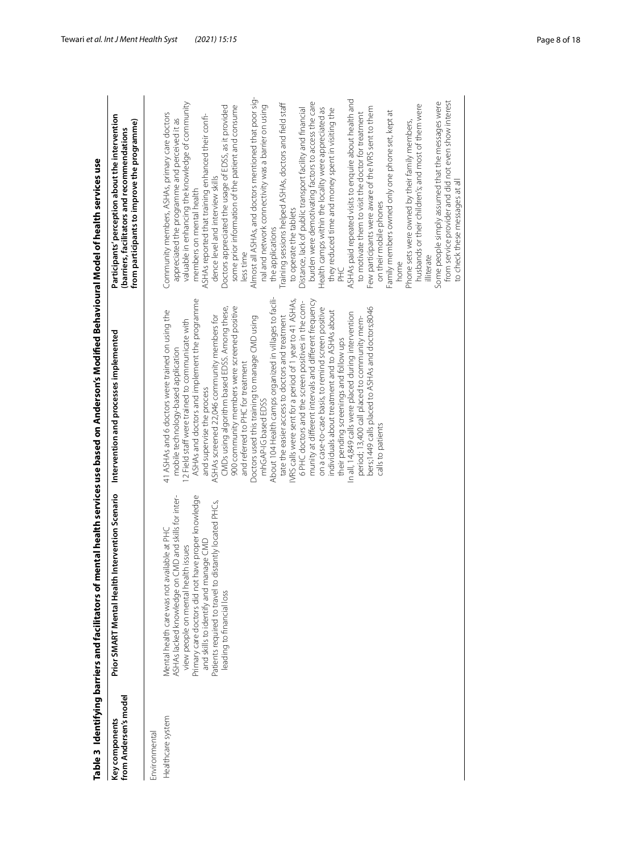<span id="page-7-0"></span>

| ۱<br>I                                                      |  |
|-------------------------------------------------------------|--|
| Ś<br>l                                                      |  |
| ł<br>i                                                      |  |
|                                                             |  |
| ֖֖֖֖֧֧ׅ֧֧ׅ֧֧֦֧֧֖֚֚֚֚֚֚֚֚֚֚֚֚֚֚֚֚֚֚֚֚֚֚֚֚֚֚֚֚֚֚֚֚֡֝֓֝֝֓֝֬֞֝֬ |  |
|                                                             |  |
|                                                             |  |
|                                                             |  |
| i<br>V                                                      |  |
|                                                             |  |
| ile 3 Ident                                                 |  |

|                                         | Table 3 Identifying barriers and facilitators of mental health services use based on Anderson's Modified Behavioural Model of health services use                                                                                                                                                                               |                                                                                                                                                                                                                                                                                                                                                                                                                                                                                                                                                                                                                                                                                                                                                                                                                                                                                                                                                                                                                                                                                                                    |                                                                                                                                                                                                                                                                                                                                                                                                                                                                                                                                                                                                                                                                                                                                                                                                                                                                                                                                                                                                                                                                                                                                                                                                                                                                                                                                                                               |
|-----------------------------------------|---------------------------------------------------------------------------------------------------------------------------------------------------------------------------------------------------------------------------------------------------------------------------------------------------------------------------------|--------------------------------------------------------------------------------------------------------------------------------------------------------------------------------------------------------------------------------------------------------------------------------------------------------------------------------------------------------------------------------------------------------------------------------------------------------------------------------------------------------------------------------------------------------------------------------------------------------------------------------------------------------------------------------------------------------------------------------------------------------------------------------------------------------------------------------------------------------------------------------------------------------------------------------------------------------------------------------------------------------------------------------------------------------------------------------------------------------------------|-------------------------------------------------------------------------------------------------------------------------------------------------------------------------------------------------------------------------------------------------------------------------------------------------------------------------------------------------------------------------------------------------------------------------------------------------------------------------------------------------------------------------------------------------------------------------------------------------------------------------------------------------------------------------------------------------------------------------------------------------------------------------------------------------------------------------------------------------------------------------------------------------------------------------------------------------------------------------------------------------------------------------------------------------------------------------------------------------------------------------------------------------------------------------------------------------------------------------------------------------------------------------------------------------------------------------------------------------------------------------------|
| from Andersen's model<br>Key components | Intervention Scenario<br>Prior SMART Mental Health                                                                                                                                                                                                                                                                              | Intervention and processes implemented                                                                                                                                                                                                                                                                                                                                                                                                                                                                                                                                                                                                                                                                                                                                                                                                                                                                                                                                                                                                                                                                             | Participants' perception about the intervention<br>from participants to improve the programme)<br>(barriers, facilitators and recommendations                                                                                                                                                                                                                                                                                                                                                                                                                                                                                                                                                                                                                                                                                                                                                                                                                                                                                                                                                                                                                                                                                                                                                                                                                                 |
| Environmental                           |                                                                                                                                                                                                                                                                                                                                 |                                                                                                                                                                                                                                                                                                                                                                                                                                                                                                                                                                                                                                                                                                                                                                                                                                                                                                                                                                                                                                                                                                                    |                                                                                                                                                                                                                                                                                                                                                                                                                                                                                                                                                                                                                                                                                                                                                                                                                                                                                                                                                                                                                                                                                                                                                                                                                                                                                                                                                                               |
| Healthcare system                       | Primary care doctors did not have proper knowledge<br>ASHAs lacked knowledge on CMD and skills for inter-<br>Patients required to travel to distantly located PHCs,<br>Mental health care was not available at PH0<br>and skills to identify and manage CMD<br>view people on mental health issues<br>leading to financial loss | About 104 Health camps organized in villages to facili-<br>IVRS calls were sent for a period of 1 year to 41 ASHAs,<br>ASHAs and doctors and implement the programme<br>munity at different intervals and different frequency<br>6 PHC doctors and the screen positives in the com-<br>900 community members were screened positive<br>CMDs using algorithm based EDSS. Among these,<br>on a case-to-case basis, to remind screen positive<br>bers;1449 calls placed to ASHAs and doctors;8046<br>individuals about treatment and to ASHAs about<br>41 ASHAs and 6 doctors were trained on using the<br>In all, 14,849 calls were placed during intervention<br>tate the easier access to doctors and treatment<br>ASHAs screened 22,046 community members for<br>Doctors used this training to manage CMD using<br>period; 13,400 call placed to community mem-<br>2 Field staff were trained to communicate with<br>their pending screenings and follow ups<br>mobile technology-based application<br>and referred to PHC for treatment<br>and supervise the process<br>mhGAP-IG based EDSS<br>calls to patients | Almost all ASHAs, and doctors mentioned that poor sig-<br>ASHAs paid repeated visits to enquire about health and<br>from service provider and did not even show interest<br>valuable in enhancing the knowledge of community<br>burden were demotivating factors to access the care<br>Some people simply assumed that the messages were<br>Training sessions helped ASHAs, doctors and field staff<br>husbands or their children's; and most of them were<br>some prior information of the patient and consume<br>nal and network connectivity was a barrier on using<br>Doctors appreciated the usage of EDSS, as it provided<br>Distance, lack of public transport facility and financial<br>Health camps within the locality were appreciated as<br>Few participants were aware of the IVRS sent to them<br>they reduced time and money spent in visiting the<br>Family members owned only one phone set, kept at<br>to motivate them to visit the doctor for treatment<br>Community members, ASHAs, primary care doctors<br>ASHAs reported that training enhanced their confi-<br>appreciated the programme and perceived it as<br>Phone sets were owned by their family members,<br>dence level and interview skills<br>members on mental health<br>on their mobile phones<br>to operate the tablets<br>the applications<br>less time<br>illiterate<br>home<br>DHC<br>A |
|                                         |                                                                                                                                                                                                                                                                                                                                 |                                                                                                                                                                                                                                                                                                                                                                                                                                                                                                                                                                                                                                                                                                                                                                                                                                                                                                                                                                                                                                                                                                                    | to check these messages at all                                                                                                                                                                                                                                                                                                                                                                                                                                                                                                                                                                                                                                                                                                                                                                                                                                                                                                                                                                                                                                                                                                                                                                                                                                                                                                                                                |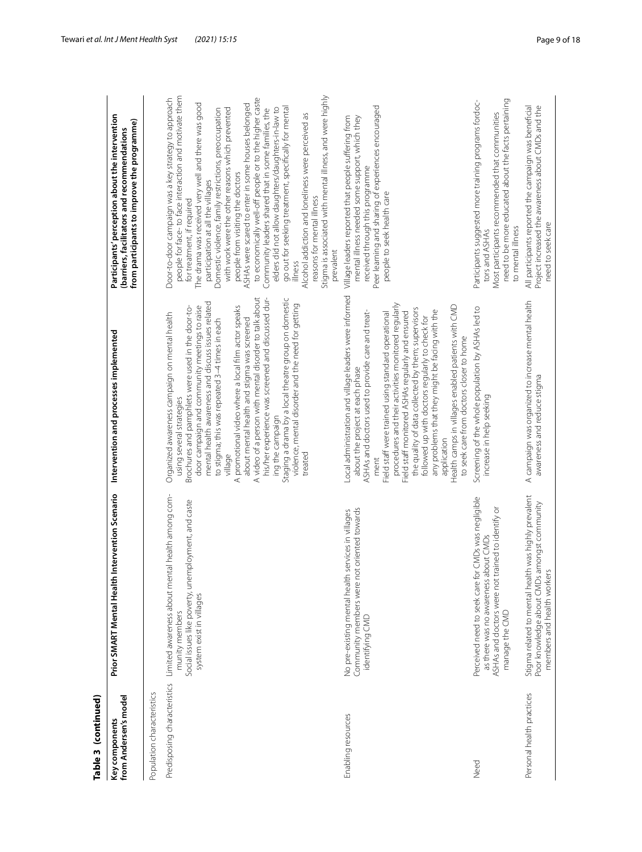| Table 3 (continued)                     |                                                                                                                                                                                    |                                                                                                                                                                                                                                                                                                                                                                                                                                                                                                                                                                                                                                                                       |                                                                                                                                                                                                                                                                                                                                                                                                                                                                                                                                                                                                                                                                                                                                                                                                                                                          |
|-----------------------------------------|------------------------------------------------------------------------------------------------------------------------------------------------------------------------------------|-----------------------------------------------------------------------------------------------------------------------------------------------------------------------------------------------------------------------------------------------------------------------------------------------------------------------------------------------------------------------------------------------------------------------------------------------------------------------------------------------------------------------------------------------------------------------------------------------------------------------------------------------------------------------|----------------------------------------------------------------------------------------------------------------------------------------------------------------------------------------------------------------------------------------------------------------------------------------------------------------------------------------------------------------------------------------------------------------------------------------------------------------------------------------------------------------------------------------------------------------------------------------------------------------------------------------------------------------------------------------------------------------------------------------------------------------------------------------------------------------------------------------------------------|
| from Andersen's model<br>Key components | Intervention Scenario<br>Prior SMART Mental Health                                                                                                                                 | Intervention and processes implemented                                                                                                                                                                                                                                                                                                                                                                                                                                                                                                                                                                                                                                | Participants' perception about the intervention<br>from participants to improve the programme)<br>(barriers, facilitators and recommendations                                                                                                                                                                                                                                                                                                                                                                                                                                                                                                                                                                                                                                                                                                            |
| Population characteristics              |                                                                                                                                                                                    |                                                                                                                                                                                                                                                                                                                                                                                                                                                                                                                                                                                                                                                                       |                                                                                                                                                                                                                                                                                                                                                                                                                                                                                                                                                                                                                                                                                                                                                                                                                                                          |
|                                         | Predisposing characteristics Limited awareness about mental health among com-<br>Social issues like poverty, unemployment, and caste<br>system exist in villages<br>munity members | A video of a person with mental disorder to talk about<br>his/her experience was screened and discussed dur-<br>Staging a drama by a local theatre group on domestic<br>mental health awareness and discuss issues related<br>violence, mental disorder and the need for getting<br>door campaign and community meetings to raise<br>A promotional video where a local film actor speaks<br>Brochures and pamphlets were used in the door-to-<br>Organized awareness campaign on mental health<br>about mental health and stigma was screened<br>to stigma; this was repeated 3-4 times in each<br>using several strategies<br>ing the campaign<br>treated<br>village | people for face- to face interaction and motivate them<br>Stigma is associated with mental illness, and were highly<br>Door-to-door campaign was a key strategy to approach<br>to economically well-off people or to the higher caste<br>The drama was received very well and there was good<br>ASHAs were scared to enter in some houses belonged<br>go out for seeking treatment, specifically for mental<br>elders did not allow daughters/daughters-in-law to<br>with work were the other reasons which prevented<br>Domestic violence, family restrictions, preoccupation<br>Community leaders shared that in some families, the<br>Alcohol addiction and loneliness were perceived as<br>people from visiting the doctors<br>participation at all the villages<br>reasons for mental illness<br>for treatment, if required<br>prevalent<br>illness |
| Enabling resources                      | Community members were not oriented towards<br>No pre-existing mental health services in villages<br>identifying CMD                                                               | Local administration and village leaders were informed<br>procedures and their activities monitored reqularly<br>Health camps in villages enabled patients with CMD<br>the quality of data collected by them; supervisors<br>any problems that they might be facing with the<br>ASHAs and doctors used to provide care and treat-<br>Field staff monitored ASHAs regularly and ensured<br>Field staff were trained using standard operational<br>followed up with doctors regularly to check for<br>to seek care from doctors closer to home<br>about the project at each phase<br>application<br>ment                                                                | Peer learning and sharing of experiences encouraged<br>mental illness needed some support, which they<br>Village leaders reported that people suffering from<br>received through this programme<br>people to seek health care                                                                                                                                                                                                                                                                                                                                                                                                                                                                                                                                                                                                                            |
| Need                                    | Perceived need to seek care for CMDs was negligible<br>ASHAs and doctors were not trained to identify or<br>as there was no awareness about CMDs<br>manage the CMD                 | Screening of the whole population by ASHAs led to<br>increase in help seeking                                                                                                                                                                                                                                                                                                                                                                                                                                                                                                                                                                                         | need to be more educated about the facts pertaining<br>Participants suggested more training programs fordoc-<br>Most participants recommended that communities<br>to mental illness<br>tors and ASHAs                                                                                                                                                                                                                                                                                                                                                                                                                                                                                                                                                                                                                                                    |
| Personal health practices               | Stigma related to mental health was highly prevalent<br>Poor knowledge about CMDs amongst community<br>members and health workers                                                  | A campaign was organized to increase mental health<br>awareness and reduce stigma                                                                                                                                                                                                                                                                                                                                                                                                                                                                                                                                                                                     | All participants reported the campaign was beneficial<br>Project increased the awareness about CMDs and the<br>need to seek care                                                                                                                                                                                                                                                                                                                                                                                                                                                                                                                                                                                                                                                                                                                         |

## Tewari *et al. Int J Ment Health Syst (2021) 15:15* Page 9 of 18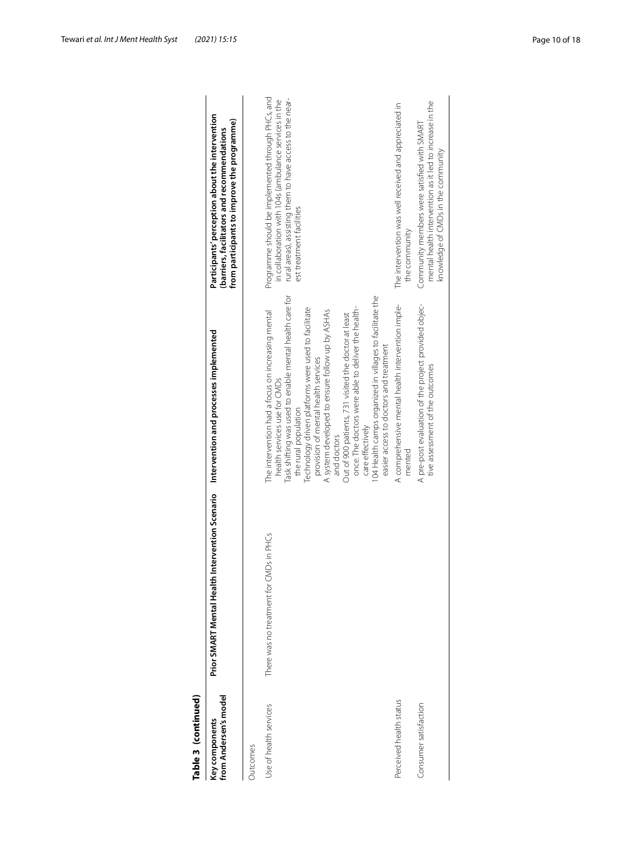| Table 3 (continued)                     |                                                    |                                                                                                                                                                                                                                                                                                                                                                                                                                                                                                                                                                              |                                                                                                                                                                                                    |
|-----------------------------------------|----------------------------------------------------|------------------------------------------------------------------------------------------------------------------------------------------------------------------------------------------------------------------------------------------------------------------------------------------------------------------------------------------------------------------------------------------------------------------------------------------------------------------------------------------------------------------------------------------------------------------------------|----------------------------------------------------------------------------------------------------------------------------------------------------------------------------------------------------|
| from Andersen's model<br>Key components | Intervention Scenario<br>Prior SMART Mental Health | Intervention and processes implemented                                                                                                                                                                                                                                                                                                                                                                                                                                                                                                                                       | Participants' perception about the intervention<br>from participants to improve the programme)<br>(barriers, facilitators and recommendations                                                      |
| <b>Outcomes</b>                         |                                                    |                                                                                                                                                                                                                                                                                                                                                                                                                                                                                                                                                                              |                                                                                                                                                                                                    |
| Use of health services                  | There was no treatment for CMDs in PHCs            | Task shifting was used to enable mental health care for<br>104 Health camps organized in villages to facilitate the<br>Technology driven platforms were used to facilitate<br>once. The doctors were able to deliver the health-<br>A system developed to ensure follow up by ASHAs<br>The intervention had a focus on increasing mental<br>Out of 900 patients, 731 visited the doctor at least<br>easier access to doctors and treatment<br>provision of mental health services<br>health services use for CMDs<br>the rural population<br>care effectively<br>and doctors | Programme should be implemented through PHCs, and<br>rural areas), assisting them to have access to the near-<br>in collaboration with 104s (ambulance services in the<br>est treatment facilities |
| Perceived health status                 |                                                    | A comprehensive mental health intervention imple-<br>mented                                                                                                                                                                                                                                                                                                                                                                                                                                                                                                                  | The intervention was well received and appreciated in<br>the community                                                                                                                             |
| Consumer satisfaction                   |                                                    | A pre-post evaluation of the project provided objec-<br>tive assessment of the outcomes                                                                                                                                                                                                                                                                                                                                                                                                                                                                                      | mental health intervention as it led to increase in the<br>Community members were satisfied with SMART<br>knowledge of CMDs in the community                                                       |
|                                         |                                                    |                                                                                                                                                                                                                                                                                                                                                                                                                                                                                                                                                                              |                                                                                                                                                                                                    |

## Tewari *et al. Int J Ment Health Syst (2021) 15:15* Page 10 of 18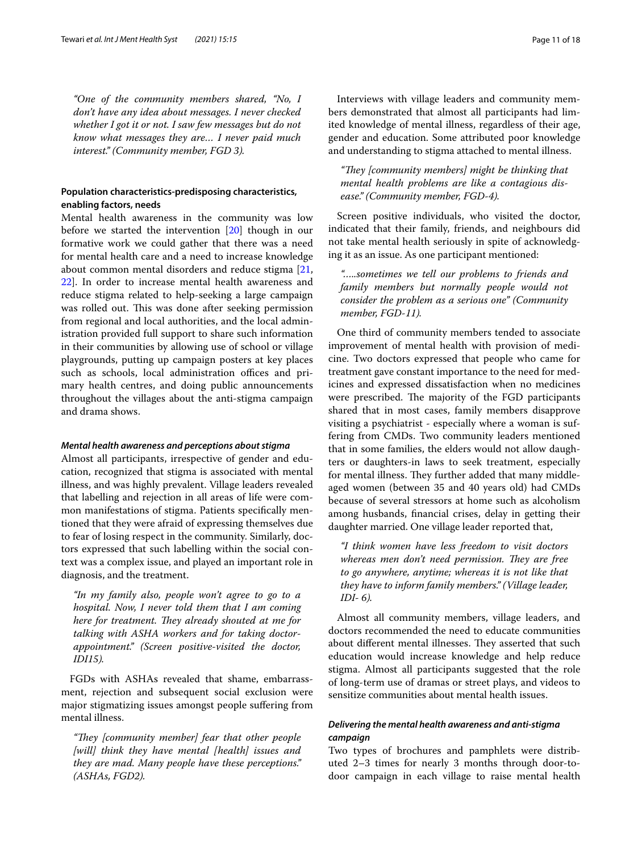*"One of the community members shared, "No, I don't have any idea about messages. I never checked whether I got it or not. I saw few messages but do not know what messages they are… I never paid much interest." (Community member, FGD 3).*

## **Population characteristics‑predisposing characteristics, enabling factors, needs**

Mental health awareness in the community was low before we started the intervention [\[20](#page-16-21)] though in our formative work we could gather that there was a need for mental health care and a need to increase knowledge about common mental disorders and reduce stigma [\[21](#page-17-0), [22\]](#page-17-1). In order to increase mental health awareness and reduce stigma related to help-seeking a large campaign was rolled out. This was done after seeking permission from regional and local authorities, and the local administration provided full support to share such information in their communities by allowing use of school or village playgrounds, putting up campaign posters at key places such as schools, local administration offices and primary health centres, and doing public announcements throughout the villages about the anti-stigma campaign and drama shows.

## *Mental health awareness and perceptions about stigma*

Almost all participants, irrespective of gender and education, recognized that stigma is associated with mental illness, and was highly prevalent. Village leaders revealed that labelling and rejection in all areas of life were common manifestations of stigma. Patients specifcally mentioned that they were afraid of expressing themselves due to fear of losing respect in the community. Similarly, doctors expressed that such labelling within the social context was a complex issue, and played an important role in diagnosis, and the treatment.

*"In my family also, people won't agree to go to a hospital. Now, I never told them that I am coming here for treatment. They already shouted at me for talking with ASHA workers and for taking doctorappointment." (Screen positive-visited the doctor, IDI15).*

FGDs with ASHAs revealed that shame, embarrassment, rejection and subsequent social exclusion were major stigmatizing issues amongst people sufering from mental illness.

*"Tey [community member] fear that other people [will] think they have mental [health] issues and they are mad. Many people have these perceptions." (ASHAs, FGD2).*

Interviews with village leaders and community members demonstrated that almost all participants had limited knowledge of mental illness, regardless of their age, gender and education. Some attributed poor knowledge and understanding to stigma attached to mental illness.

"They *[community members] might be thinking that mental health problems are like a contagious disease." (Community member, FGD-4).*

Screen positive individuals, who visited the doctor, indicated that their family, friends, and neighbours did not take mental health seriously in spite of acknowledging it as an issue. As one participant mentioned:

*"…..sometimes we tell our problems to friends and family members but normally people would not consider the problem as a serious one" (Community member, FGD-11).*

One third of community members tended to associate improvement of mental health with provision of medicine. Two doctors expressed that people who came for treatment gave constant importance to the need for medicines and expressed dissatisfaction when no medicines were prescribed. The majority of the FGD participants shared that in most cases, family members disapprove visiting a psychiatrist - especially where a woman is suffering from CMDs. Two community leaders mentioned that in some families, the elders would not allow daughters or daughters-in laws to seek treatment, especially for mental illness. They further added that many middleaged women (between 35 and 40 years old) had CMDs because of several stressors at home such as alcoholism among husbands, fnancial crises, delay in getting their daughter married. One village leader reported that,

*"I think women have less freedom to visit doctors whereas men don't need permission. They are free to go anywhere, anytime; whereas it is not like that they have to inform family members." (Village leader, IDI- 6).*

Almost all community members, village leaders, and doctors recommended the need to educate communities about different mental illnesses. They asserted that such education would increase knowledge and help reduce stigma. Almost all participants suggested that the role of long-term use of dramas or street plays, and videos to sensitize communities about mental health issues.

## *Delivering the mental health awareness and anti‑stigma campaign*

Two types of brochures and pamphlets were distributed 2–3 times for nearly 3 months through door-todoor campaign in each village to raise mental health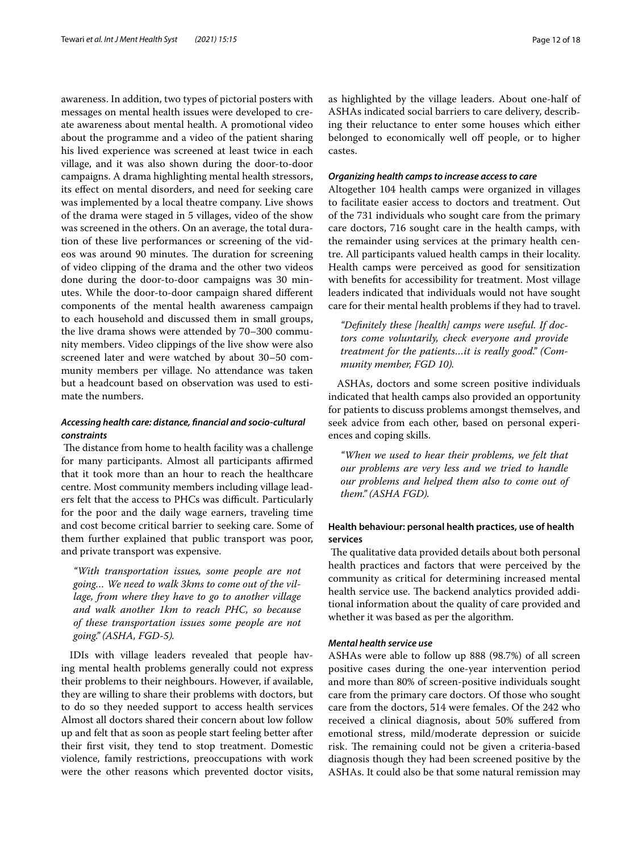awareness. In addition, two types of pictorial posters with messages on mental health issues were developed to create awareness about mental health. A promotional video about the programme and a video of the patient sharing his lived experience was screened at least twice in each village, and it was also shown during the door-to-door campaigns. A drama highlighting mental health stressors, its efect on mental disorders, and need for seeking care was implemented by a local theatre company. Live shows of the drama were staged in 5 villages, video of the show was screened in the others. On an average, the total duration of these live performances or screening of the videos was around 90 minutes. The duration for screening of video clipping of the drama and the other two videos done during the door-to-door campaigns was 30 minutes. While the door-to-door campaign shared diferent components of the mental health awareness campaign to each household and discussed them in small groups, the live drama shows were attended by 70–300 community members. Video clippings of the live show were also screened later and were watched by about 30–50 community members per village. No attendance was taken but a headcount based on observation was used to estimate the numbers.

## *Accessing health care: distance, fnancial and socio‑cultural constraints*

The distance from home to health facility was a challenge for many participants. Almost all participants affirmed that it took more than an hour to reach the healthcare centre. Most community members including village leaders felt that the access to PHCs was difficult. Particularly for the poor and the daily wage earners, traveling time and cost become critical barrier to seeking care. Some of them further explained that public transport was poor, and private transport was expensive.

*"With transportation issues, some people are not going… We need to walk 3kms to come out of the village, from where they have to go to another village and walk another 1km to reach PHC, so because of these transportation issues some people are not going." (ASHA, FGD-5).*

IDIs with village leaders revealed that people having mental health problems generally could not express their problems to their neighbours. However, if available, they are willing to share their problems with doctors, but to do so they needed support to access health services Almost all doctors shared their concern about low follow up and felt that as soon as people start feeling better after their frst visit, they tend to stop treatment. Domestic violence, family restrictions, preoccupations with work were the other reasons which prevented doctor visits, as highlighted by the village leaders. About one-half of ASHAs indicated social barriers to care delivery, describing their reluctance to enter some houses which either belonged to economically well off people, or to higher castes.

#### *Organizing health camps to increase access to care*

Altogether 104 health camps were organized in villages to facilitate easier access to doctors and treatment. Out of the 731 individuals who sought care from the primary care doctors, 716 sought care in the health camps, with the remainder using services at the primary health centre. All participants valued health camps in their locality. Health camps were perceived as good for sensitization with benefts for accessibility for treatment. Most village leaders indicated that individuals would not have sought care for their mental health problems if they had to travel.

*"Defnitely these [health] camps were useful. If doctors come voluntarily, check everyone and provide treatment for the patients…it is really good." (Community member, FGD 10).*

ASHAs, doctors and some screen positive individuals indicated that health camps also provided an opportunity for patients to discuss problems amongst themselves, and seek advice from each other, based on personal experiences and coping skills.

*"When we used to hear their problems, we felt that our problems are very less and we tried to handle our problems and helped them also to come out of them." (ASHA FGD).*

## **Health behaviour: personal health practices, use of health services**

The qualitative data provided details about both personal health practices and factors that were perceived by the community as critical for determining increased mental health service use. The backend analytics provided additional information about the quality of care provided and whether it was based as per the algorithm.

## *Mental health service use*

ASHAs were able to follow up 888 (98.7%) of all screen positive cases during the one-year intervention period and more than 80% of screen-positive individuals sought care from the primary care doctors. Of those who sought care from the doctors, 514 were females. Of the 242 who received a clinical diagnosis, about 50% sufered from emotional stress, mild/moderate depression or suicide risk. The remaining could not be given a criteria-based diagnosis though they had been screened positive by the ASHAs. It could also be that some natural remission may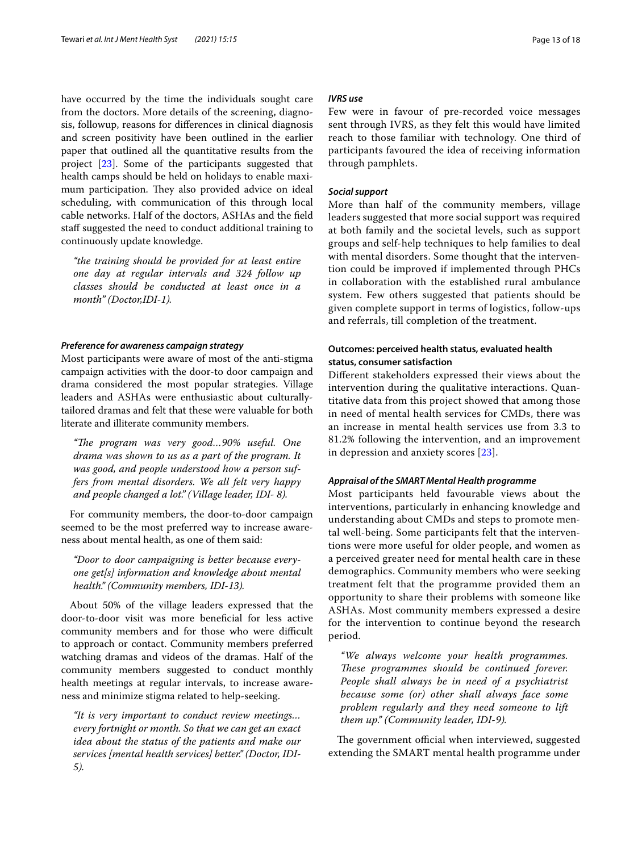have occurred by the time the individuals sought care from the doctors. More details of the screening, diagnosis, followup, reasons for diferences in clinical diagnosis and screen positivity have been outlined in the earlier paper that outlined all the quantitative results from the project [\[23](#page-17-2)]. Some of the participants suggested that health camps should be held on holidays to enable maximum participation. They also provided advice on ideal scheduling, with communication of this through local cable networks. Half of the doctors, ASHAs and the feld staff suggested the need to conduct additional training to continuously update knowledge.

*"the training should be provided for at least entire one day at regular intervals and 324 follow up classes should be conducted at least once in a month" (Doctor,IDI-1).*

#### *Preference for awareness campaign strategy*

Most participants were aware of most of the anti-stigma campaign activities with the door-to door campaign and drama considered the most popular strategies. Village leaders and ASHAs were enthusiastic about culturallytailored dramas and felt that these were valuable for both literate and illiterate community members.

"The program was very good...90% useful. One *drama was shown to us as a part of the program. It was good, and people understood how a person suffers from mental disorders. We all felt very happy and people changed a lot." (Village leader, IDI- 8).*

For community members, the door-to-door campaign seemed to be the most preferred way to increase awareness about mental health, as one of them said:

*"Door to door campaigning is better because everyone get[s] information and knowledge about mental health." (Community members, IDI-13).*

About 50% of the village leaders expressed that the door-to-door visit was more benefcial for less active community members and for those who were difficult to approach or contact. Community members preferred watching dramas and videos of the dramas. Half of the community members suggested to conduct monthly health meetings at regular intervals, to increase awareness and minimize stigma related to help-seeking.

*"It is very important to conduct review meetings… every fortnight or month. So that we can get an exact idea about the status of the patients and make our services [mental health services] better." (Doctor, IDI-5).*

## *IVRS use*

Few were in favour of pre-recorded voice messages sent through IVRS, as they felt this would have limited reach to those familiar with technology. One third of participants favoured the idea of receiving information through pamphlets.

#### *Social support*

More than half of the community members, village leaders suggested that more social support was required at both family and the societal levels, such as support groups and self-help techniques to help families to deal with mental disorders. Some thought that the intervention could be improved if implemented through PHCs in collaboration with the established rural ambulance system. Few others suggested that patients should be given complete support in terms of logistics, follow-ups and referrals, till completion of the treatment.

## **Outcomes: perceived health status, evaluated health status, consumer satisfaction**

Diferent stakeholders expressed their views about the intervention during the qualitative interactions. Quantitative data from this project showed that among those in need of mental health services for CMDs, there was an increase in mental health services use from 3.3 to 81.2% following the intervention, and an improvement in depression and anxiety scores [\[23\]](#page-17-2).

## *Appraisal of the SMART Mental Health programme*

Most participants held favourable views about the interventions, particularly in enhancing knowledge and understanding about CMDs and steps to promote mental well-being. Some participants felt that the interventions were more useful for older people, and women as a perceived greater need for mental health care in these demographics. Community members who were seeking treatment felt that the programme provided them an opportunity to share their problems with someone like ASHAs. Most community members expressed a desire for the intervention to continue beyond the research period.

*"We always welcome your health programmes.*  These programmes should be continued forever. *People shall always be in need of a psychiatrist because some (or) other shall always face some problem regularly and they need someone to lift them up." (Community leader, IDI-9).*

The government official when interviewed, suggested extending the SMART mental health programme under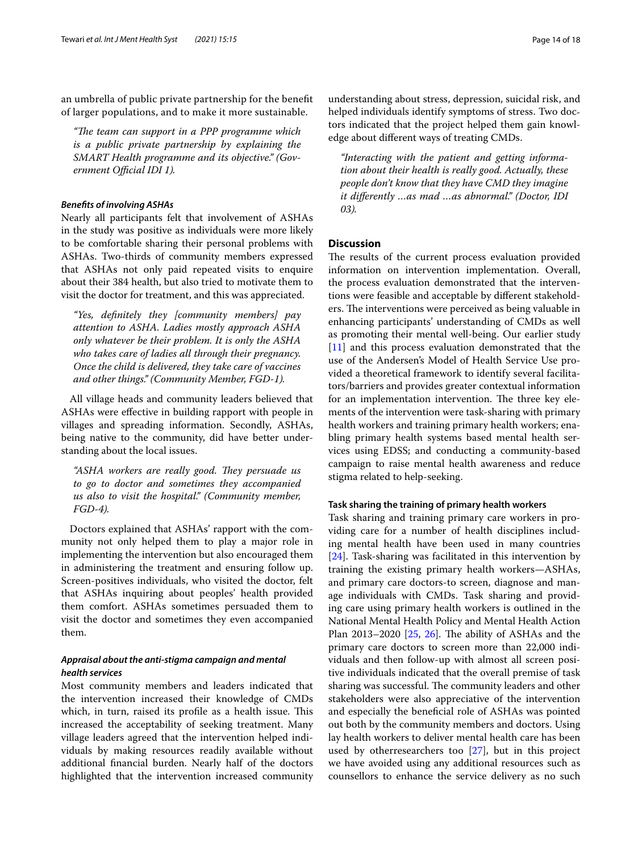an umbrella of public private partnership for the beneft of larger populations, and to make it more sustainable.

*"Te team can support in a PPP programme which is a public private partnership by explaining the SMART Health programme and its objective." (Government Official IDI 1).* 

## *Benefts of involving ASHAs*

Nearly all participants felt that involvement of ASHAs in the study was positive as individuals were more likely to be comfortable sharing their personal problems with ASHAs. Two-thirds of community members expressed that ASHAs not only paid repeated visits to enquire about their 384 health, but also tried to motivate them to visit the doctor for treatment, and this was appreciated.

*"Yes, defnitely they [community members] pay attention to ASHA. Ladies mostly approach ASHA only whatever be their problem. It is only the ASHA who takes care of ladies all through their pregnancy. Once the child is delivered, they take care of vaccines and other things." (Community Member, FGD-1).*

All village heads and community leaders believed that ASHAs were efective in building rapport with people in villages and spreading information. Secondly, ASHAs, being native to the community, did have better understanding about the local issues.

"ASHA workers are really good. They persuade us *to go to doctor and sometimes they accompanied us also to visit the hospital." (Community member, FGD-4).*

Doctors explained that ASHAs' rapport with the community not only helped them to play a major role in implementing the intervention but also encouraged them in administering the treatment and ensuring follow up. Screen-positives individuals, who visited the doctor, felt that ASHAs inquiring about peoples' health provided them comfort. ASHAs sometimes persuaded them to visit the doctor and sometimes they even accompanied them.

## *Appraisal about the anti‑stigma campaign and mental health services*

Most community members and leaders indicated that the intervention increased their knowledge of CMDs which, in turn, raised its profile as a health issue. This increased the acceptability of seeking treatment. Many village leaders agreed that the intervention helped individuals by making resources readily available without additional fnancial burden. Nearly half of the doctors highlighted that the intervention increased community

understanding about stress, depression, suicidal risk, and helped individuals identify symptoms of stress. Two doctors indicated that the project helped them gain knowledge about diferent ways of treating CMDs.

*"Interacting with the patient and getting information about their health is really good. Actually, these people don't know that they have CMD they imagine it diferently …as mad …as abnormal." (Doctor, IDI 03).*

#### **Discussion**

The results of the current process evaluation provided information on intervention implementation. Overall, the process evaluation demonstrated that the interventions were feasible and acceptable by diferent stakeholders. The interventions were perceived as being valuable in enhancing participants' understanding of CMDs as well as promoting their mental well-being. Our earlier study [[11\]](#page-16-9) and this process evaluation demonstrated that the use of the Andersen's Model of Health Service Use provided a theoretical framework to identify several facilitators/barriers and provides greater contextual information for an implementation intervention. The three key elements of the intervention were task-sharing with primary health workers and training primary health workers; enabling primary health systems based mental health services using EDSS; and conducting a community-based campaign to raise mental health awareness and reduce stigma related to help-seeking.

#### **Task sharing the training of primary health workers**

Task sharing and training primary care workers in providing care for a number of health disciplines including mental health have been used in many countries [[24\]](#page-17-3). Task-sharing was facilitated in this intervention by training the existing primary health workers—ASHAs, and primary care doctors-to screen, diagnose and manage individuals with CMDs. Task sharing and providing care using primary health workers is outlined in the National Mental Health Policy and Mental Health Action Plan 2013–2020  $[25, 26]$  $[25, 26]$  $[25, 26]$ . The ability of ASHAs and the primary care doctors to screen more than 22,000 individuals and then follow-up with almost all screen positive individuals indicated that the overall premise of task sharing was successful. The community leaders and other stakeholders were also appreciative of the intervention and especially the beneficial role of ASHAs was pointed out both by the community members and doctors. Using lay health workers to deliver mental health care has been used by otherresearchers too [\[27\]](#page-17-6), but in this project we have avoided using any additional resources such as counsellors to enhance the service delivery as no such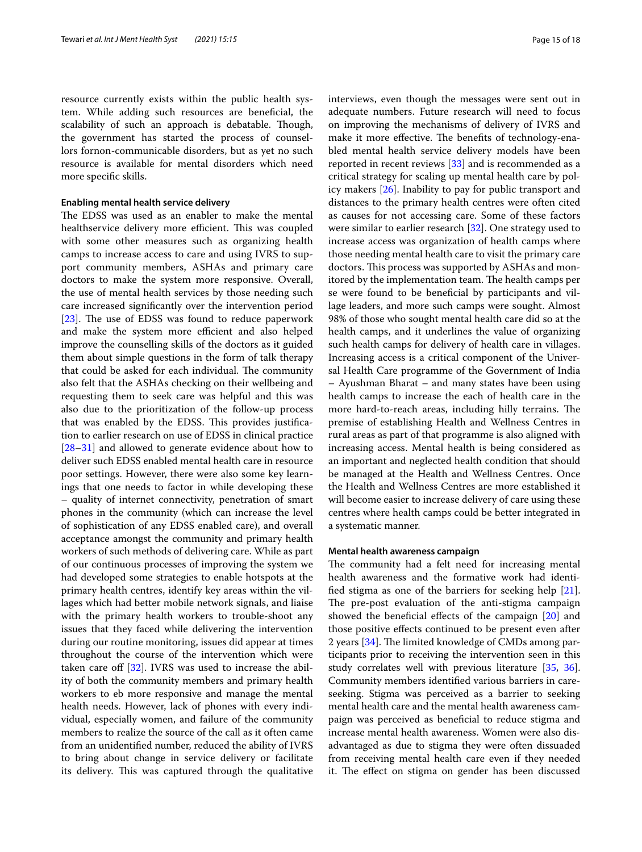resource currently exists within the public health system. While adding such resources are benefcial, the scalability of such an approach is debatable. Though, the government has started the process of counsellors fornon-communicable disorders, but as yet no such resource is available for mental disorders which need more specifc skills.

#### **Enabling mental health service delivery**

The EDSS was used as an enabler to make the mental healthservice delivery more efficient. This was coupled with some other measures such as organizing health camps to increase access to care and using IVRS to support community members, ASHAs and primary care doctors to make the system more responsive. Overall, the use of mental health services by those needing such care increased signifcantly over the intervention period [ $23$ ]. The use of EDSS was found to reduce paperwork and make the system more efficient and also helped improve the counselling skills of the doctors as it guided them about simple questions in the form of talk therapy that could be asked for each individual. The community also felt that the ASHAs checking on their wellbeing and requesting them to seek care was helpful and this was also due to the prioritization of the follow-up process that was enabled by the EDSS. This provides justification to earlier research on use of EDSS in clinical practice [[28–](#page-17-7)[31](#page-17-8)] and allowed to generate evidence about how to deliver such EDSS enabled mental health care in resource poor settings. However, there were also some key learnings that one needs to factor in while developing these – quality of internet connectivity, penetration of smart phones in the community (which can increase the level of sophistication of any EDSS enabled care), and overall acceptance amongst the community and primary health workers of such methods of delivering care. While as part of our continuous processes of improving the system we had developed some strategies to enable hotspots at the primary health centres, identify key areas within the villages which had better mobile network signals, and liaise with the primary health workers to trouble-shoot any issues that they faced while delivering the intervention during our routine monitoring, issues did appear at times throughout the course of the intervention which were taken care off  $[32]$ . IVRS was used to increase the ability of both the community members and primary health workers to eb more responsive and manage the mental health needs. However, lack of phones with every individual, especially women, and failure of the community members to realize the source of the call as it often came from an unidentifed number, reduced the ability of IVRS to bring about change in service delivery or facilitate its delivery. This was captured through the qualitative interviews, even though the messages were sent out in adequate numbers. Future research will need to focus on improving the mechanisms of delivery of IVRS and make it more effective. The benefits of technology-enabled mental health service delivery models have been reported in recent reviews  $[33]$  $[33]$  and is recommended as a critical strategy for scaling up mental health care by policy makers [\[26](#page-17-5)]. Inability to pay for public transport and distances to the primary health centres were often cited as causes for not accessing care. Some of these factors were similar to earlier research [\[32](#page-17-9)]. One strategy used to increase access was organization of health camps where those needing mental health care to visit the primary care doctors. This process was supported by ASHAs and monitored by the implementation team. The health camps per se were found to be benefcial by participants and village leaders, and more such camps were sought. Almost 98% of those who sought mental health care did so at the health camps, and it underlines the value of organizing such health camps for delivery of health care in villages. Increasing access is a critical component of the Universal Health Care programme of the Government of India – Ayushman Bharat – and many states have been using health camps to increase the each of health care in the more hard-to-reach areas, including hilly terrains. The premise of establishing Health and Wellness Centres in rural areas as part of that programme is also aligned with increasing access. Mental health is being considered as an important and neglected health condition that should be managed at the Health and Wellness Centres. Once the Health and Wellness Centres are more established it will become easier to increase delivery of care using these centres where health camps could be better integrated in a systematic manner.

#### **Mental health awareness campaign**

The community had a felt need for increasing mental health awareness and the formative work had identifed stigma as one of the barriers for seeking help [\[21](#page-17-0)]. The pre-post evaluation of the anti-stigma campaign showed the beneficial effects of the campaign [\[20](#page-16-21)] and those positive efects continued to be present even after 2 years  $[34]$  $[34]$  $[34]$ . The limited knowledge of CMDs among participants prior to receiving the intervention seen in this study correlates well with previous literature [\[35](#page-17-12), [36](#page-17-13)]. Community members identifed various barriers in careseeking. Stigma was perceived as a barrier to seeking mental health care and the mental health awareness campaign was perceived as benefcial to reduce stigma and increase mental health awareness. Women were also disadvantaged as due to stigma they were often dissuaded from receiving mental health care even if they needed it. The effect on stigma on gender has been discussed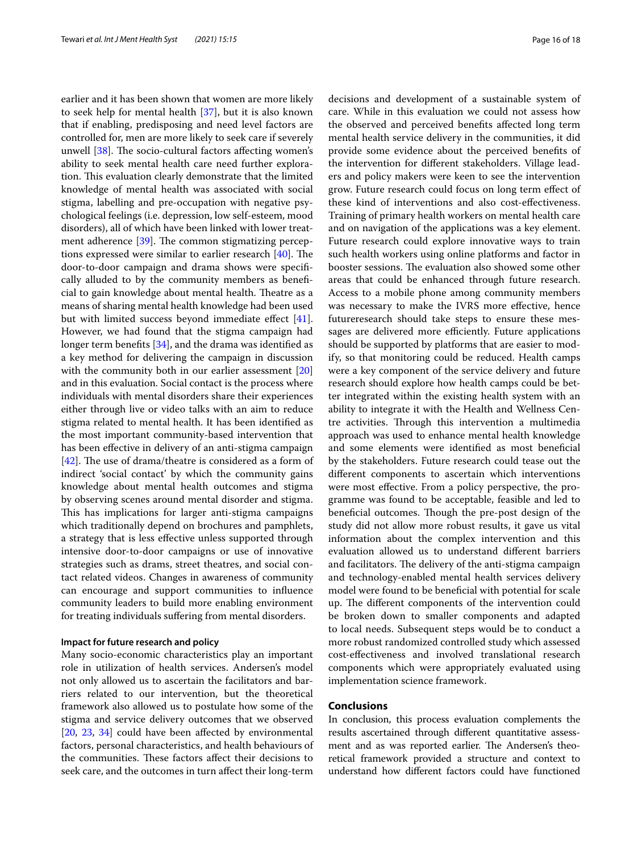earlier and it has been shown that women are more likely to seek help for mental health [[37\]](#page-17-14), but it is also known that if enabling, predisposing and need level factors are controlled for, men are more likely to seek care if severely unwell  $[38]$ . The socio-cultural factors affecting women's ability to seek mental health care need further exploration. This evaluation clearly demonstrate that the limited knowledge of mental health was associated with social stigma, labelling and pre-occupation with negative psychological feelings (i.e. depression, low self-esteem, mood disorders), all of which have been linked with lower treatment adherence  $[39]$  $[39]$ . The common stigmatizing perceptions expressed were similar to earlier research  $[40]$  $[40]$ . The door-to-door campaign and drama shows were specifcally alluded to by the community members as benefcial to gain knowledge about mental health. Theatre as a means of sharing mental health knowledge had been used but with limited success beyond immediate efect [\[41](#page-17-18)]. However, we had found that the stigma campaign had longer term benefits [[34](#page-17-11)], and the drama was identified as a key method for delivering the campaign in discussion with the community both in our earlier assessment [[20](#page-16-21)] and in this evaluation. Social contact is the process where individuals with mental disorders share their experiences either through live or video talks with an aim to reduce stigma related to mental health. It has been identifed as the most important community-based intervention that has been efective in delivery of an anti-stigma campaign [ $42$ ]. The use of drama/theatre is considered as a form of indirect 'social contact' by which the community gains knowledge about mental health outcomes and stigma by observing scenes around mental disorder and stigma. This has implications for larger anti-stigma campaigns which traditionally depend on brochures and pamphlets, a strategy that is less efective unless supported through intensive door-to-door campaigns or use of innovative strategies such as drams, street theatres, and social contact related videos. Changes in awareness of community can encourage and support communities to infuence community leaders to build more enabling environment for treating individuals sufering from mental disorders.

## **Impact for future research and policy**

Many socio-economic characteristics play an important role in utilization of health services. Andersen's model not only allowed us to ascertain the facilitators and barriers related to our intervention, but the theoretical framework also allowed us to postulate how some of the stigma and service delivery outcomes that we observed [[20,](#page-16-21) [23,](#page-17-2) [34\]](#page-17-11) could have been affected by environmental factors, personal characteristics, and health behaviours of the communities. These factors affect their decisions to seek care, and the outcomes in turn afect their long-term decisions and development of a sustainable system of care. While in this evaluation we could not assess how the observed and perceived benefts afected long term mental health service delivery in the communities, it did provide some evidence about the perceived benefts of the intervention for diferent stakeholders. Village leaders and policy makers were keen to see the intervention grow. Future research could focus on long term efect of these kind of interventions and also cost-efectiveness. Training of primary health workers on mental health care and on navigation of the applications was a key element. Future research could explore innovative ways to train such health workers using online platforms and factor in booster sessions. The evaluation also showed some other areas that could be enhanced through future research. Access to a mobile phone among community members was necessary to make the IVRS more efective, hence futureresearch should take steps to ensure these messages are delivered more efficiently. Future applications should be supported by platforms that are easier to modify, so that monitoring could be reduced. Health camps were a key component of the service delivery and future research should explore how health camps could be better integrated within the existing health system with an ability to integrate it with the Health and Wellness Centre activities. Through this intervention a multimedia approach was used to enhance mental health knowledge and some elements were identifed as most benefcial by the stakeholders. Future research could tease out the diferent components to ascertain which interventions were most efective. From a policy perspective, the programme was found to be acceptable, feasible and led to beneficial outcomes. Though the pre-post design of the study did not allow more robust results, it gave us vital information about the complex intervention and this evaluation allowed us to understand diferent barriers and facilitators. The delivery of the anti-stigma campaign and technology-enabled mental health services delivery model were found to be benefcial with potential for scale up. The different components of the intervention could be broken down to smaller components and adapted to local needs. Subsequent steps would be to conduct a more robust randomized controlled study which assessed cost-efectiveness and involved translational research components which were appropriately evaluated using implementation science framework.

### **Conclusions**

In conclusion, this process evaluation complements the results ascertained through diferent quantitative assessment and as was reported earlier. The Andersen's theoretical framework provided a structure and context to understand how diferent factors could have functioned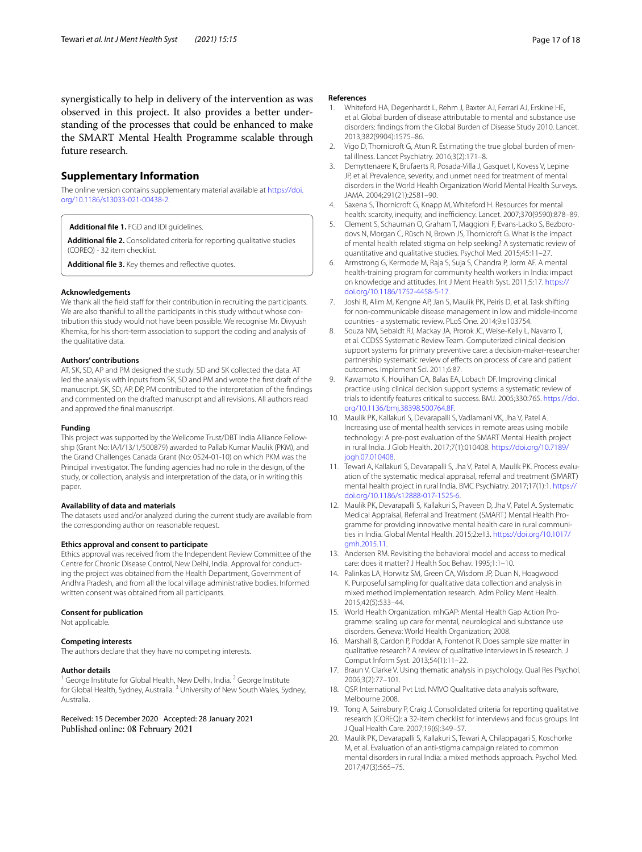synergistically to help in delivery of the intervention as was observed in this project. It also provides a better understanding of the processes that could be enhanced to make the SMART Mental Health Programme scalable through future research.

## **Supplementary Information**

The online version contains supplementary material available at [https://doi.](https://doi.org/10.1186/s13033-021-00438-2) [org/10.1186/s13033-021-00438-2](https://doi.org/10.1186/s13033-021-00438-2).

<span id="page-16-19"></span><span id="page-16-14"></span>**Additional fle 1.** FGD and IDI guidelines.

<span id="page-16-20"></span>**Additional fle 2.** Consolidated criteria for reporting qualitative studies (COREQ) - 32 item checklist.

Additional file 3. Key themes and reflective quotes.

#### **Acknowledgements**

We thank all the field staff for their contribution in recruiting the participants. We are also thankful to all the participants in this study without whose contribution this study would not have been possible. We recognise Mr. Divyush Khemka, for his short-term association to support the coding and analysis of the qualitative data.

#### **Authors' contributions**

AT, SK, SD, AP and PM designed the study. SD and SK collected the data. AT led the analysis with inputs from SK, SD and PM and wrote the frst draft of the manuscript. SK, SD, AP, DP, PM contributed to the interpretation of the fndings and commented on the drafted manuscript and all revisions. All authors read and approved the fnal manuscript.

#### **Funding**

This project was supported by the Wellcome Trust/DBT India Alliance Fellowship (Grant No: IA/I/13/1/500879) awarded to Pallab Kumar Maulik (PKM), and the Grand Challenges Canada Grant (No: 0524-01-10) on which PKM was the Principal investigator. The funding agencies had no role in the design, of the study, or collection, analysis and interpretation of the data, or in writing this paper.

#### **Availability of data and materials**

The datasets used and/or analyzed during the current study are available from the corresponding author on reasonable request.

#### **Ethics approval and consent to participate**

Ethics approval was received from the Independent Review Committee of the Centre for Chronic Disease Control, New Delhi, India. Approval for conducting the project was obtained from the Health Department, Government of Andhra Pradesh, and from all the local village administrative bodies. Informed written consent was obtained from all participants.

#### **Consent for publication**

Not applicable.

#### **Competing interests**

The authors declare that they have no competing interests.

#### **Author details**

George Institute for Global Health, New Delhi, India.<sup>2</sup> George Institute for Global Health, Sydney, Australia.<sup>3</sup> University of New South Wales, Sydney, Australia.

Received: 15 December 2020 Accepted: 28 January 2021 Published online: 08 February 2021

#### **References**

- <span id="page-16-0"></span>1. Whiteford HA, Degenhardt L, Rehm J, Baxter AJ, Ferrari AJ, Erskine HE, et al. Global burden of disease attributable to mental and substance use disorders: fndings from the Global Burden of Disease Study 2010. Lancet. 2013;382(9904):1575–86.
- <span id="page-16-1"></span>2. Vigo D, Thornicroft G, Atun R. Estimating the true global burden of mental illness. Lancet Psychiatry. 2016;3(2):171–8.
- <span id="page-16-2"></span>3. Demyttenaere K, Brufaerts R, Posada-Villa J, Gasquet I, Kovess V, Lepine JP, et al. Prevalence, severity, and unmet need for treatment of mental disorders in the World Health Organization World Mental Health Surveys. JAMA. 2004;291(21):2581–90.
- 4. Saxena S, Thornicroft G, Knapp M, Whiteford H. Resources for mental health: scarcity, inequity, and inefficiency. Lancet. 2007;370(9590):878-89.
- <span id="page-16-3"></span>5. Clement S, Schauman O, Graham T, Maggioni F, Evans-Lacko S, Bezborodovs N, Morgan C, Rüsch N, Brown JS, Thornicroft G. What is the impact of mental health related stigma on help seeking? A systematic review of quantitative and qualitative studies. Psychol Med. 2015;45:11–27.
- <span id="page-16-4"></span>6. Armstrong G, Kermode M, Raja S, Suja S, Chandra P, Jorm AF. A mental health-training program for community health workers in India: impact on knowledge and attitudes. Int J Ment Health Syst. 2011;5:17. [https://](https://doi.org/10.1186/1752-4458-5-17) [doi.org/10.1186/1752-4458-5-17](https://doi.org/10.1186/1752-4458-5-17).
- <span id="page-16-5"></span>7. Joshi R, Alim M, Kengne AP, Jan S, Maulik PK, Peiris D, et al. Task shifting for non-communicable disease management in low and middle-income countries - a systematic review. PLoS One. 2014;9:e103754.
- <span id="page-16-6"></span>8. Souza NM, Sebaldt RJ, Mackay JA, Prorok JC, Weise-Kelly L, Navarro T, et al. CCDSS Systematic Review Team. Computerized clinical decision support systems for primary preventive care: a decision-maker-researcher partnership systematic review of efects on process of care and patient outcomes. Implement Sci. 2011;6:87.
- <span id="page-16-7"></span>9. Kawamoto K, Houlihan CA, Balas EA, Lobach DF. Improving clinical practice using clinical decision support systems: a systematic review of trials to identify features critical to success. BMJ. 2005;330:765. [https://doi.](https://doi.org/10.1136/bmj.38398.500764.8F) [org/10.1136/bmj.38398.500764.8F.](https://doi.org/10.1136/bmj.38398.500764.8F)
- <span id="page-16-8"></span>10. Maulik PK, Kallakuri S, Devarapalli S, Vadlamani VK, Jha V, Patel A. Increasing use of mental health services in remote areas using mobile technology: A pre-post evaluation of the SMART Mental Health project in rural India. J Glob Health. 2017;7(1):010408. [https://doi.org/10.7189/](https://doi.org/10.7189/jogh.07.010408) [jogh.07.010408](https://doi.org/10.7189/jogh.07.010408).
- <span id="page-16-9"></span>11. Tewari A, Kallakuri S, Devarapalli S, Jha V, Patel A, Maulik PK. Process evaluation of the systematic medical appraisal, referral and treatment (SMART) mental health project in rural India. BMC Psychiatry. 2017;17(1):1. [https://](https://doi.org/10.1186/s12888-017-1525-6) [doi.org/10.1186/s12888-017-1525-6](https://doi.org/10.1186/s12888-017-1525-6).
- <span id="page-16-10"></span>12. Maulik PK, Devarapalli S, Kallakuri S, Praveen D, Jha V, Patel A. Systematic Medical Appraisal, Referral and Treatment (SMART) Mental Health Programme for providing innovative mental health care in rural communities in India. Global Mental Health. 2015;2:e13. [https://doi.org/10.1017/](https://doi.org/10.1017/gmh.2015.11) [gmh.2015.11](https://doi.org/10.1017/gmh.2015.11).
- <span id="page-16-11"></span>13. Andersen RM. Revisiting the behavioral model and access to medical care: does it matter? J Health Soc Behav. 1995;1:1–10.
- <span id="page-16-12"></span>14. Palinkas LA, Horwitz SM, Green CA, Wisdom JP, Duan N, Hoagwood K. Purposeful sampling for qualitative data collection and analysis in mixed method implementation research. Adm Policy Ment Health. 2015;42(5):533–44.
- <span id="page-16-13"></span>15. World Health Organization. mhGAP: Mental Health Gap Action Programme: scaling up care for mental, neurological and substance use disorders. Geneva: World Health Organization; 2008.
- <span id="page-16-15"></span>16. Marshall B, Cardon P, Poddar A, Fontenot R. Does sample size matter in qualitative research? A review of qualitative interviews in IS research. J Comput Inform Syst. 2013;54(1):11–22.
- <span id="page-16-16"></span>17. Braun V, Clarke V. Using thematic analysis in psychology. Qual Res Psychol. 2006;3(2):77–101.
- <span id="page-16-17"></span>18. QSR International Pvt Ltd. NVIVO Qualitative data analysis software, Melbourne 2008.
- <span id="page-16-18"></span>19. Tong A, Sainsbury P, Craig J. Consolidated criteria for reporting qualitative research (COREQ): a 32-item checklist for interviews and focus groups. Int J Qual Health Care. 2007;19(6):349–57.
- <span id="page-16-21"></span>20. Maulik PK, Devarapalli S, Kallakuri S, Tewari A, Chilappagari S, Koschorke M, et al. Evaluation of an anti-stigma campaign related to common mental disorders in rural India: a mixed methods approach. Psychol Med. 2017;47(3):565–75.